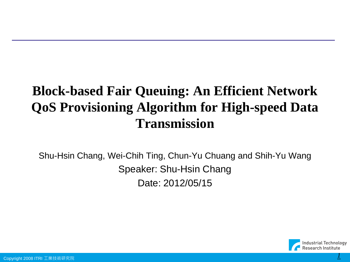### **Block-based Fair Queuing: An Efficient Network QoS Provisioning Algorithm for High-speed Data Transmission**

Shu-Hsin Chang, Wei-Chih Ting, Chun-Yu Chuang and Shih-Yu Wang Speaker: Shu-Hsin Chang Date: 2012/05/15

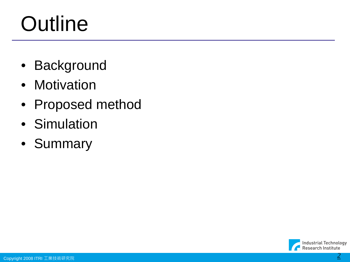# **Outline**

- Background
- Motivation
- Proposed method
- Simulation
- Summary

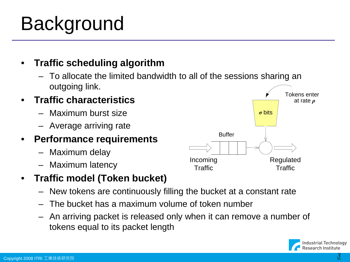#### Copyright 2008 ITRI 工業技術研究院 *3*

### Background

### • **Traffic scheduling algorithm**

– To allocate the limited bandwidth to all of the sessions sharing an outgoing link.

#### • **Traffic characteristics**

- Maximum burst size
- Average arriving rate

#### • **Performance requirements**

- Maximum delay
- Maximum latency

### • **Traffic model (Token bucket)**

- New tokens are continuously filling the bucket at a constant rate
- The bucket has a maximum volume of token number
- An arriving packet is released only when it can remove a number of tokens equal to its packet length



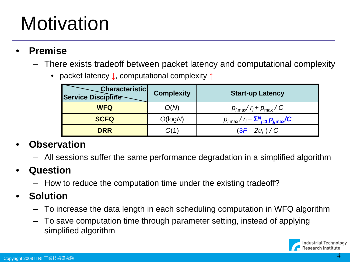### **Motivation**

- **Premise**
	- There exists tradeoff between packet latency and computational complexity
		- packet latency **↓**, computational complexity **↑**

| <b>Characteristic</b><br><b>Service Discipline</b> | <b>Complexity</b> | <b>Start-up Latency</b>                                    |
|----------------------------------------------------|-------------------|------------------------------------------------------------|
| <b>WFQ</b>                                         | O(N)              | $p_{i,\text{max}}/r_i + p_{\text{max}}/C$                  |
| <b>SCFQ</b>                                        | O(log N)          | $p_{i,\text{max}}/r_i + \sum_{j=1}^{N} p_{j,\text{max}}/C$ |
| <b>DRR</b>                                         | (1)               | $(3F - 2u_i) / C$                                          |

#### • **Observation**

– All sessions suffer the same performance degradation in a simplified algorithm

### • **Question**

– How to reduce the computation time under the existing tradeoff?

#### • **Solution**

- To increase the data length in each scheduling computation in WFQ algorithm
- To save computation time through parameter setting, instead of applying simplified algorithm

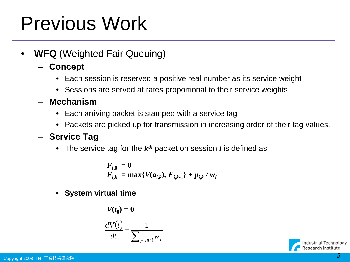### Previous Work

- **WFQ** (Weighted Fair Queuing)
	- **Concept**
		- Each session is reserved a positive real number as its service weight
		- Sessions are served at rates proportional to their service weights
	- **Mechanism**
		- Each arriving packet is stamped with a service tag
		- Packets are picked up for transmission in increasing order of their tag values.

#### – **Service Tag**

• The service tag for the  $k<sup>th</sup>$  packet on session *i* is defined as

$$
F_{i,0} = 0
$$
  
F<sub>i,k</sub> = max{ $V(a_{i,k})$ , F<sub>i,k-1</sub>} + p<sub>i,k</sub> / w<sub>i</sub>

• **System virtual time**

$$
V(t_0) = 0
$$

$$
\frac{dV(t)}{dt} = \frac{1}{\sum_{j \in B(t)} w_j}
$$

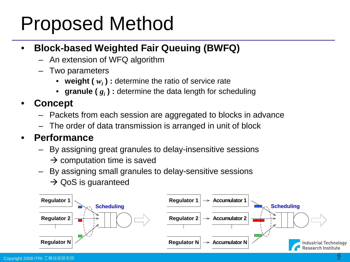### Proposed Method

#### • **Block-based Weighted Fair Queuing (BWFQ)**

- An extension of WFQ algorithm
- Two parameters
	- weight ( $w_i$ ) : determine the ratio of service rate
	- granule  $(g_i)$ : determine the data length for scheduling

#### • **Concept**

- Packets from each session are aggregated to blocks in advance
- The order of data transmission is arranged in unit of block

#### • **Performance**

- By assigning great granules to delay-insensitive sessions
	- $\rightarrow$  computation time is saved
- By assigning small granules to delay-sensitive sessions
	- $\rightarrow$  QoS is guaranteed

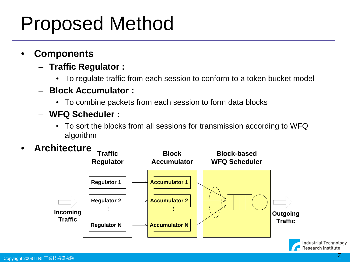### Proposed Method

- **Components**
	- **Traffic Regulator :** 
		- To regulate traffic from each session to conform to a token bucket model
	- **Block Accumulator :** 
		- To combine packets from each session to form data blocks
	- **WFQ Scheduler :** 
		- To sort the blocks from all sessions for transmission according to WFQ algorithm
- **Architecture**



**Research Institute**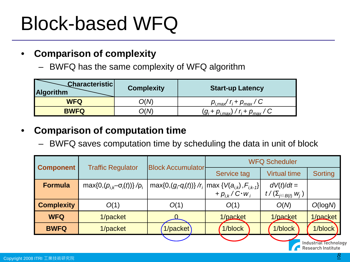#### • **Comparison of complexity**

– BWFQ has the same complexity of WFQ algorithm

| Characteristic<br><b>Algorithm</b> | <b>Complexity</b> | <b>Start-up Latency</b>                                |
|------------------------------------|-------------------|--------------------------------------------------------|
| <b>WFQ</b>                         | D(M)              | $p_{i,\text{max}}/r_i + p_{\text{max}}/C$              |
| <b>BWFQ</b>                        | J(M               | $(g_i + p_{i, \text{max}}) / r_i + p_{\text{max}} / C$ |

#### • **Comparison of computation time**

– BWFQ saves computation time by scheduling the data in unit of block

| <b>Component</b>  | <b>Traffic Regulator</b>                      | <b>Block Accumulator</b>                                                                        | <b>WFQ Scheduler</b>   |                              |                     |
|-------------------|-----------------------------------------------|-------------------------------------------------------------------------------------------------|------------------------|------------------------------|---------------------|
|                   |                                               |                                                                                                 | <b>Service tag</b>     | <b>Virtual time</b>          | Sorting             |
| <b>Formula</b>    | max $\{0, (p_{i,k} - \sigma_i(t))\} / \rho_i$ | max{0,(g <sub>r</sub> -q <sub>i</sub> (t))} /r <sub>i</sub>  max { $V(a_{i,k})$ , $F_{i,k-1}$ } |                        | $dV(t)/dt =$                 |                     |
|                   |                                               |                                                                                                 | $+ p_{ik}/C \cdot w_i$ | $t/(\Sigma_{j\in B(t)} w_j)$ |                     |
| <b>Complexity</b> | O(1)                                          | O(1)                                                                                            | O(1)                   | O(N)                         | O(logM)             |
| <b>WFQ</b>        | 1/packet                                      |                                                                                                 | 1/packet               | 1/packet                     | 1/packet            |
| <b>BWFQ</b>       | 1/packet                                      | 1/packet                                                                                        | 1/block                | 1/block                      | 1/block             |
|                   |                                               |                                                                                                 |                        |                              | Industrial Technolo |

Research Institute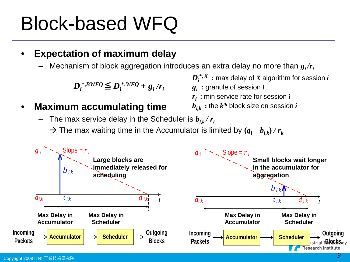#### • **Expectation of maximum delay**

Mechanism of block aggregation introduces an extra delay no more than  $g_i/r_i$ 

 $D_i^{*,BWFQ} \leq D_i^{*,WFQ} + g_i/r_i$ 

• **Maximum accumulating time**

- $\boldsymbol{D_i}^{*,X}$   $:$  max delay of  $X$  algorithm for session  $i$
- $g_i$   $:$  granule of session  $i$
- $\bm{r}_i$  : min service rate for session  $i$
- $b_{i,k}$ : the  $k^{th}$  block size on session *i*
- $-$  The max service delay in the Scheduler is  $b_{ik}/r_i$ 
	- $\rightarrow$  The max waiting time in the Accumulator is limited by  $(g_i b_{i,k}) / r_k$

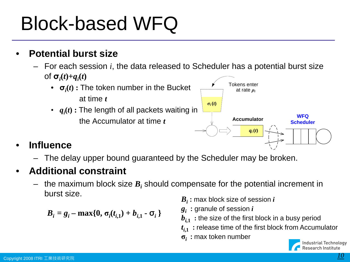- **Potential burst size**
	- For each session *i*, the data released to Scheduler has a potential burst size  $\sigma_i(t) + q_i(t)$ 
		- **σ***<sup>i</sup>* **(***t***) :** The token number in the Bucket at time *t* • *qi* **(***t***) :** The length of all packets waiting in the Accumulator at time *t* **Accumulator** Tokens enter at rate *ρ<sup>i</sup>*  $\sigma_i(t)$ **WFQ**

#### • **Influence**

– The delay upper bound guaranteed by the Scheduler may be broken.

#### • **Additional constraint**

 $-$  the maximum block size  $B_i$  should compensate for the potential increment in burst size.

$$
B_i = g_i - \max\{0, \sigma_i(t_{i,1}) + b_{i,1} - \sigma_i\}
$$

- *Bi* **:** max block size of session *i*
- $g_i$   $:$  granule of session  $i$
- $b_{i,1}$ : the size of the first block in a busy period

 $q_i(t)$ 

- $t_{i,1}$ : release time of the first block from Accumulator
- **σ***i* **:** max token number

**Scheduler**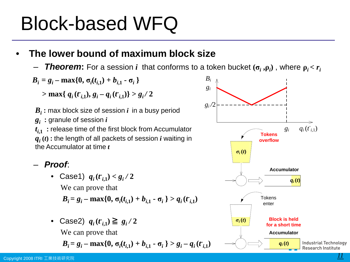#### • **The lower bound of maximum block size**

– *Theorem***:** For a session *i* that conforms to a token bucket **(σ***<sup>i</sup>* **,ρ***<sup>i</sup>* **)** , where **ρ***i* **<** *ri*

$$
B_i = g_i - \max\{0, \sigma_i(t_{i,1}) + b_{i,1} - \sigma_i\}
$$

 $>$  **max**{ $q_i$  ( $t_{i,1}$ ),  $g_i - q_i$  ( $t_{i,1}$ )}  $> g_i$  / 2

 $B_i$ : max block size of session  $i$  in a busy period  $g_i$   $:$  granule of session  $i$  $t_{i,1}$ : release time of the first block from Accumulator  $q_i(t)$ : the length of all packets of session *i* waiting in the Accumulator at time *t*

#### – *Proof*:

• Case1)  $q_i(t_{i,1}) < g_i/2$ We can prove that

$$
B_i = g_i - \max\{0, \sigma_i(t_{i,1}) + b_{i,1} - \sigma_i\} > q_i(t_{i,1})
$$

• Case2)  $q_i(t_{i,1}) \geq g_i/2$ We can prove that

$$
B_i = g_i - \max\{0, \sigma_i(t_{i,1}) + b_{i,1} - \sigma_i\} > g_i - q_i(t_{i,1})
$$

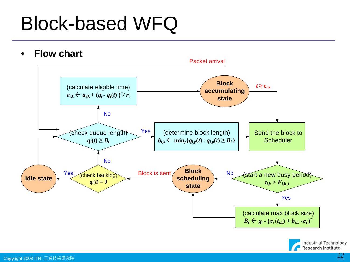• **Flow chart** 



**Industrial Technology** Research Institute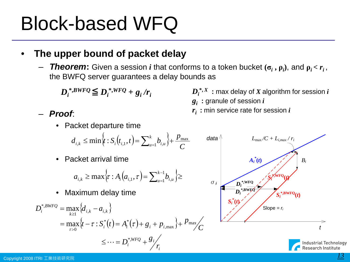#### • **The upper bound of packet delay**

– *Theorem***:** Given a session *i* that conforms to a token bucket **(σ***<sup>i</sup>* **, ρ***<sup>i</sup>* **)**, and **ρ***i* **<** *ri* , the BWFQ server guarantees a delay bounds as

$$
D_i^{*,BWFQ} \leq D_i^{*,WFQ} + g_i/r_i
$$

– *Proof*:

• Packet departure time

$$
d_{i,k} \le \min \left\{ t : S_i(t_{i,1}, t) = \sum_{u=1}^k b_{i,u} \right\} + \frac{p_{\max}}{C}
$$

• Packet arrival time

$$
a_{i,k} \ge \max \left\{ \tau : A_i(a_{i,1}, \tau) = \sum_{u=1}^{k-1} b_{i,u} \right\} \ge
$$

• Maximum delay time

$$
D_i^{*,BWFQ} = \max_{k \ge 1} \{d_{i,k} - a_{i,k}\}
$$
  
= 
$$
\max_{\tau > 0} \{t - \tau : S_i^*(t) = A_i^*(\tau) + g_i + p_{i,\max}\} + P_{\max}/C
$$
  

$$
\le \cdots = D_i^{*,WFQ} + \frac{g_i}{r_i}
$$

data  
\n
$$
L_{\text{max}}/C + L_{i,\text{max}}/r_i
$$
  
\n $A_i^*(t)$   
\n $A_i^*(t)$   
\n $A_i^*$   
\n $S_i^*$ ,  
\n $S_i^*$ ,  
\n $S_i^*$ ,  
\n $S_i^*$ ,  
\n $S_i^*$ ,  
\n $S_i^*$ ,  
\n $S_i^*$ ,  
\n $S_i^*$ ,  
\n $S_i^*$ ,  
\n $S_i^*$ ,  
\n $S_i^*$ ,  
\n $S_i^*$ ,  
\n $S_i^*$ ,  
\n $S_i^*$ ,  
\n $S_i^*$ ,  
\n $S_i^*$ ,  
\n $S_i^*$ ,  
\n $S_i^*$ ,  
\n $S_i^*$ ,  
\n $S_i^*$ ,  
\n $S_i^*$ ,  
\n $S_i^*$ ,  
\n $S_i^*$ ,  
\n $S_i^*$ ,  
\n $S_i^*$ ,  
\n $S_i^*$ ,  
\n $S_i^*$ ,  
\n $S_i^*$ ,  
\n $S_i^*$ ,  
\n $S_i^*$ ,  
\n $S_i^*$ ,  
\n $S_i^*$ ,  
\n $S_i^*$ ,  
\n $S_i^*$ ,  
\n $S_i^*$ ,  
\n $S_i^*$ ,  
\n $S_i^*$ ,  
\n $S_i^*$ ,  
\n $S_i^*$ ,  
\n $S_i^*$ ,  
\n $S_i^*$ ,  
\n $S_i^*$ ,  
\n $S_i^*$ ,  
\n $S_i^*$ ,  
\n $S_i^*$ ,  
\n $S_i^*$ ,  
\n $S_i^*$ ,  
\n $S_i^*$ ,  
\n $S_i^*$ ,  
\n $S_i^*$ ,  
\n $S_i^*$ ,  
\n $S_i^*$ ,  
\n $S_i^*$ ,  
\n $S_i^*$ ,  
\n $S_i^*$ ,  
\n $S_i^*$ ,  
\n $S_i^*$ ,  
\n $S_i^*$ ,  
\

 $D_i^{*, X}$ : max delay of X algorithm for session *i* 

 $g_i$   $:$  granule of session  $i$ 

 $\bm{r}_i$  : min service rate for session  $i$ 

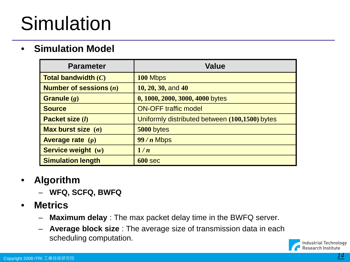### Simulation

#### • **Simulation Model**

| <b>Parameter</b>                        | <b>Value</b>                                   |
|-----------------------------------------|------------------------------------------------|
| <b>Total bandwidth <math>(C)</math></b> | 100 Mbps                                       |
| Number of sessions $(n)$                | $10, 20, 30,$ and $40$                         |
| Granule $(g)$                           | 0, 1000, 2000, 3000, 4000 bytes                |
| <b>Source</b>                           | <b>ON-OFF traffic model</b>                    |
| Packet size (1)                         | Uniformly distributed between (100,1500) bytes |
| Max burst size $(\sigma)$               | 5000 bytes                                     |
| Average rate $(p)$                      | $99/n$ Mbps                                    |
| Service weight $(w)$                    | 1/n                                            |
| <b>Simulation length</b>                | $600$ sec                                      |

#### • **Algorithm**

- **WFQ, SCFQ, BWFQ**
- **Metrics** 
	- **Maximum delay** : The max packet delay time in the BWFQ server.
	- **Average block size** : The average size of transmission data in each scheduling computation.

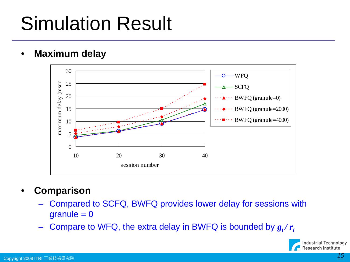## Simulation Result

• **Maximum delay** 



- **Comparison**
	- Compared to SCFQ, BWFQ provides lower delay for sessions with  $granule = 0$
	- Compare to WFQ, the extra delay in BWFQ is bounded by  $g_i/r_i$

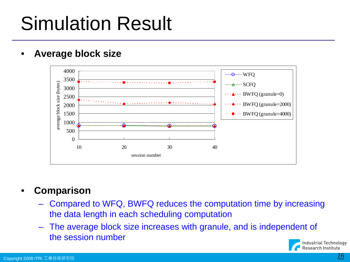## Simulation Result

#### • **Average block size**



#### • **Comparison**

- Compared to WFQ, BWFQ reduces the computation time by increasing the data length in each scheduling computation
- The average block size increases with granule, and is independent of the session number

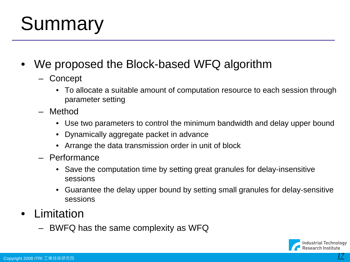### **Summary**

- We proposed the Block-based WFQ algorithm
	- Concept
		- To allocate a suitable amount of computation resource to each session through parameter setting
	- Method
		- Use two parameters to control the minimum bandwidth and delay upper bound
		- Dynamically aggregate packet in advance
		- Arrange the data transmission order in unit of block
	- Performance
		- Save the computation time by setting great granules for delay-insensitive sessions
		- Guarantee the delay upper bound by setting small granules for delay-sensitive sessions
- **Limitation** 
	- BWFQ has the same complexity as WFQ